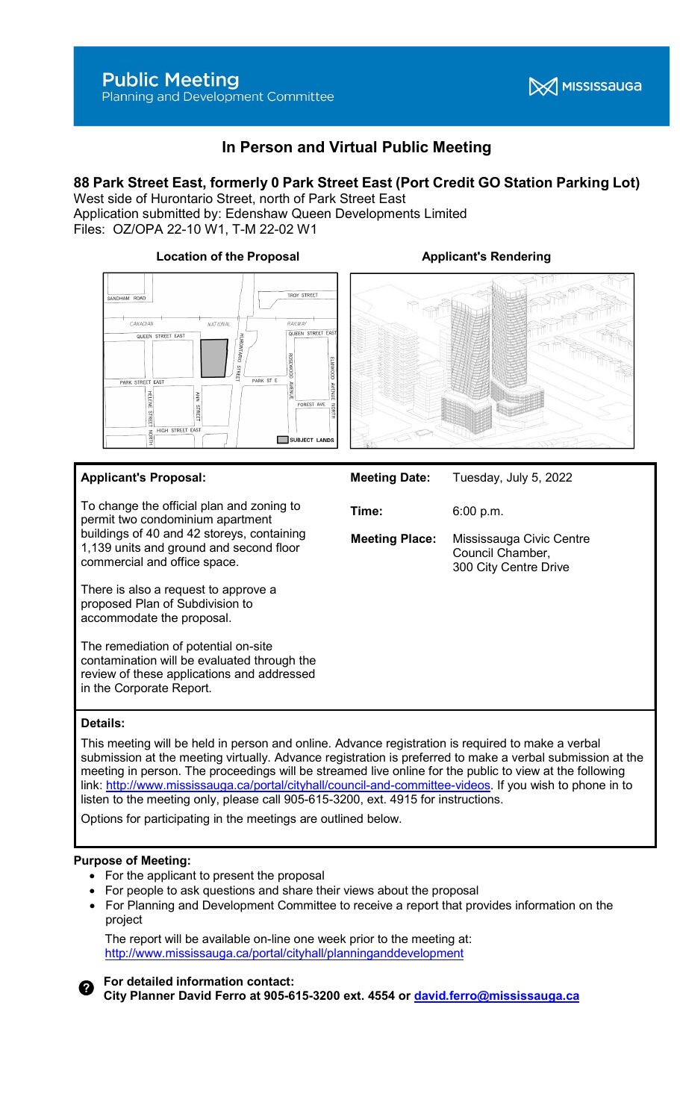## **Public Meeting**

Planning and Development Committee



## In Person and Virtual Public Meeting

### 88 Park Street East, formerly 0 Park Street East (Port Credit GO Station Parking Lot)

West side of Hurontario Street, north of Park Street East Application submitted by: Edenshaw Queen Developments Limited Files: OZ/OPA 22-10 W1, T-M 22-02 W1

Location of the Proposal **Applicant's Rendering** 



#### Applicant's Proposal:

To change the official plan and zoning to permit two condominium apartment buildings of 40 and 42 storeys, containing 1,139 units and ground and second floor commercial and office space.

There is also a request to approve a proposed Plan of Subdivision to accommodate the proposal.

The remediation of potential on-site contamination will be evaluated through the review of these applications and addressed in the Corporate Report.

| ŕ |  |  |
|---|--|--|
|   |  |  |
|   |  |  |
|   |  |  |
|   |  |  |

# Meeting Date: Tuesday, July 5, 2022

Time: 6:00 p.m.

Meeting Place: Mississauga Civic Centre Council Chamber, 300 City Centre Drive

#### Details:

This meeting will be held in person and online. Advance registration is required to make a verbal submission at the meeting virtually. Advance registration is preferred to make a verbal submission at the meeting in person. The proceedings will be streamed live online for the public to view at the following link: http://www.mississauga.ca/portal/cityhall/council-and-committee-videos. If you wish to phone in to listen to the meeting only, please call 905-615-3200, ext. 4915 for instructions.

Options for participating in the meetings are outlined below.

#### Purpose of Meeting:

- For the applicant to present the proposal
- For people to ask questions and share their views about the proposal
- For Planning and Development Committee to receive a report that provides information on the project

 The report will be available on-line one week prior to the meeting at: http://www.mississauga.ca/portal/cityhall/planninganddevelopment

For detailed information contact: City Planner David Ferro at 905-615-3200 ext. 4554 or david.ferro@mississauga.ca